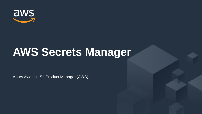

# **AWS Secrets Manager**

Apurv Awasthi, Sr. Product Manager (AWS)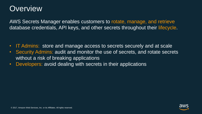### **Overview**

AWS Secrets Manager enables customers to rotate, manage, and retrieve database credentials, API keys, and other secrets throughout their lifecycle.

- IT Admins: store and manage access to secrets securely and at scale
- Security Admins: audit and monitor the use of secrets, and rotate secrets without a risk of breaking applications
- Developers: avoid dealing with secrets in their applications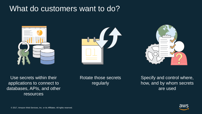### What do customers want to do?







Use secrets within their applications to connect to databases, APIs, and other resources

Rotate those secrets regularly

Specify and control where, how, and by whom secrets are used

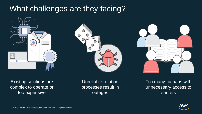## What challenges are they facing?







Existing solutions are complex to operate or too expensive

Unreliable rotation processes result in outages

Too many humans with unnecessary access to secrets

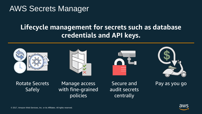## AWS Secrets Manager

#### **Lifecycle management for secrets such as database credentials and API keys.**









Rotate Secrets **Safely** 

Manage access Secure and Pay as you go with fine-grained policies

Secure and audit secrets centrally

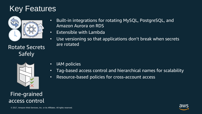## Key Features



Rotate Secrets Safely



Fine-grained access control

- Built-in integrations for rotating MySQL, PostgreSQL, and Amazon Aurora on RDS
- Extensible with Lambda
- Use versioning so that applications don't break when secrets are rotated

- IAM policies
- Tag-based access control and hierarchical names for scalability
- Resource-based policies for cross-account access

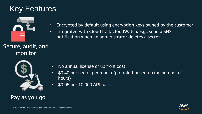## Key Features



- Encrypted by default using encryption keys owned by the customer
- Integrated with CloudTrail, CloudWatch. E.g., send a SNS notification when an administrator deletes a secret

#### Secure, audit, and monitor



- No annual license or up front cost
- \$0.40 per secret per month (pro-rated based on the number of hours)
- \$0.05 per 10,000 API calls

#### Pay as you go

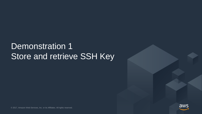## Demonstration 1 Store and retrieve SSH Key



© 2017, Amazon Web Services, Inc. or its Affiliates. All rights reserved.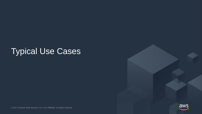## Typical Use Cases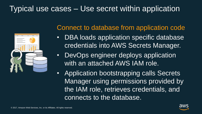## Typical use cases – Use secret within application



#### Connect to database from application code

- DBA loads application specific database credentials into AWS Secrets Manager.
- DevOps engineer deploys application with an attached AWS IAM role.
- Application bootstrapping calls Secrets Manager using permissions provided by the IAM role, retrieves credentials, and connects to the database.

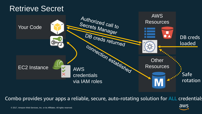## Retrieve Secret



Combo provides your apps a reliable, secure, auto-rotating solution for ALL credentials

aws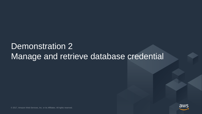## Demonstration 2 Manage and retrieve database credential

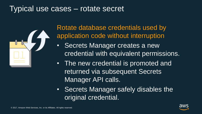## Typical use cases – rotate secret



Rotate database credentials used by application code without interruption

- Secrets Manager creates a new credential with equivalent permissions.
- The new credential is promoted and returned via subsequent Secrets Manager API calls.
- Secrets Manager safely disables the original credential.

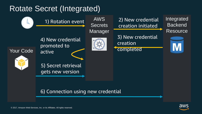## Rotate Secret (Integrated)



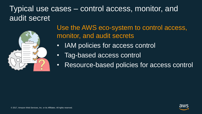## Typical use cases – control access, monitor, and audit secret



Use the AWS eco-system to control access, monitor, and audit secrets

- IAM policies for access control
- Tag-based access control
- Resource-based policies for access control

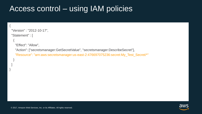## Access control – using IAM policies

```
{
"Version" : "2012-10-17",
"Statement" : [
  {
   "Effect": "Allow",
   "Action": ["secretsmanager:GetSecretValue", "secretsmanager:DescribeSecret"],
   "Resource": "arn:aws:secretsmanager:us-east-2:476697075236:secret:My_Test_Secret/*"
  }
```


] }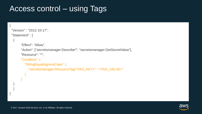## Access control – using Tags

```
{
"Version" : "2012-10-17",
"Statement" : [
  {
       "Effect": "Allow",
       "Action": ["secretsmanager:Describe*", "secretsmanager:GetSecretValue"],
       "Resource": "*",
       "Condition": {
         "StringEqualsIgnoreCase": {
            "secretsmanager:ResourceTag/<TAG_KEY>": "<TAG_VALUE>"
          }
       }
  }
  ]
```


}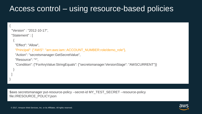## Access control – using resource-based policies

```
"Version" : "2012-10-17",
"Statement" : [
  {
   "Effect": "Allow",
   "Principal": {"AWS": "arn:aws:iam::ACCOUNT_NUMBER:role/demo_role"},
   "Action": "secretsmanager:GetSecretValue",
   "Resource": "*",
   "Condition": {"ForAnyValue:StringEquals": {"secretsmanager:VersionStage": "AWSCURRENT"}}
  }
 ]
}
```
\$aws secretsmanager put-resource-policy --secret-id MY\_TEST\_SECRET --resource-policy file://RESOURCE\_POLICY.json

{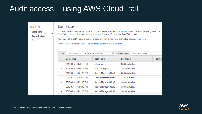## Audit access – using AWS CloudTrail

| CloudTrail                                  |                | <b>Event history</b>                                                                                                                                                                                                                                                                                                                                                                                             |  |                                         |  |                       |                   |         |  |  |  |  |
|---------------------------------------------|----------------|------------------------------------------------------------------------------------------------------------------------------------------------------------------------------------------------------------------------------------------------------------------------------------------------------------------------------------------------------------------------------------------------------------------|--|-----------------------------------------|--|-----------------------|-------------------|---------|--|--|--|--|
| Dashboard<br><b>Event history</b><br>Trails |                | Your event history contains the create, modify, and delete activities for supported services taken by people, groups, or AW<br>CloudTrail events, create a trail and then go to your Amazon S3 bucket or CloudWatch Logs.<br>You can view the last 90 days of events. Choose an event to view more information about it. Learn more<br>Can't find what you're looking for? Run advanced queries in Amazon Athena |  |                                         |  |                       |                   |         |  |  |  |  |
|                                             | <b>Filter:</b> | Event name<br>▼                                                                                                                                                                                                                                                                                                                                                                                                  |  | $\boldsymbol{\Omega}$<br>GetSecretValue |  | Time range:           | Select time range |         |  |  |  |  |
|                                             |                | <b>Fvent time</b>                                                                                                                                                                                                                                                                                                                                                                                                |  | User name                               |  | <b>Event name</b>     |                   | Resourc |  |  |  |  |
|                                             | ٠              | 2018-06-14, 06:48:26 PM                                                                                                                                                                                                                                                                                                                                                                                          |  | admin user                              |  | GetSecretValue        |                   |         |  |  |  |  |
|                                             | Þ              | 2018-06-14, 05:55:01 PM                                                                                                                                                                                                                                                                                                                                                                                          |  | awasth-Isengard                         |  | GetSecretValue        |                   |         |  |  |  |  |
|                                             | Þ              | 2018-06-14, 05:51:46 PM                                                                                                                                                                                                                                                                                                                                                                                          |  | SecretsManager538ca8                    |  | <b>GetSecretValue</b> |                   |         |  |  |  |  |
|                                             | Þ              | 2018-06-14, 05:51:46 PM                                                                                                                                                                                                                                                                                                                                                                                          |  | SecretsManager538ca8                    |  | GetSecretValue        |                   |         |  |  |  |  |
|                                             | Þ              | 2018-06-14, 05:51:46 PM                                                                                                                                                                                                                                                                                                                                                                                          |  | SecretsManager538ca8                    |  | GetSecretValue        |                   |         |  |  |  |  |
|                                             | Þ              | 2018-06-14, 05:51:45 PM                                                                                                                                                                                                                                                                                                                                                                                          |  | SecretsManager538ca8                    |  | GetSecretValue        |                   |         |  |  |  |  |
|                                             | Þ              | 2018-06-14, 05:51:45 PM                                                                                                                                                                                                                                                                                                                                                                                          |  | SecretsManager538ca8                    |  | <b>GetSecretValue</b> |                   |         |  |  |  |  |
|                                             |                |                                                                                                                                                                                                                                                                                                                                                                                                                  |  |                                         |  |                       |                   |         |  |  |  |  |

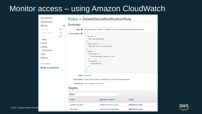## Monitor access – using Amazon CloudWatch

| CloudWatch<br><b>Dashboards</b>                                                                                                                                                           | <b>Rules &gt; DeleteSecretNotificationRule</b>                                                                               |                                                                                                                                                                                                                      |                                 |                      |  |  |  |  |  |
|-------------------------------------------------------------------------------------------------------------------------------------------------------------------------------------------|------------------------------------------------------------------------------------------------------------------------------|----------------------------------------------------------------------------------------------------------------------------------------------------------------------------------------------------------------------|---------------------------------|----------------------|--|--|--|--|--|
| Alarms<br>◀                                                                                                                                                                               | <b>Summary</b>                                                                                                               |                                                                                                                                                                                                                      |                                 |                      |  |  |  |  |  |
| $\circ$<br><b>ALARM</b>                                                                                                                                                                   | ARN O                                                                                                                        | arn:aws:events:us-east-2:476697075236:rule/DeleteSecretNotificationRule                                                                                                                                              |                                 |                      |  |  |  |  |  |
| $\left( 0 \right)$<br><b>INSUFFICIENT</b><br>$\alpha$<br>OK<br><b>Billing</b><br>Events<br>Rules<br><b>Event Buses</b><br>Logs<br><b>Metrics</b><br>Favorites<br><b>O</b> Add a dashboard | Event pattern <b>O</b>                                                                                                       | "source": [<br>"aws.secretsmanager"<br>ı,<br>"detail-type": [<br>"AWS API Call via CloudTrail"<br>Ъ<br>"detail": $\{$<br>"eventSource": [<br>"secretsmanager.amazonaws.com"<br>ь<br>"eventName": [<br>"DeleteSecret" |                                 |                      |  |  |  |  |  |
|                                                                                                                                                                                           | Status Enabled<br>Description Notify when secret is deleted from AWS Secrets Manager<br>Monitoring Show metrics for the rule |                                                                                                                                                                                                                      |                                 |                      |  |  |  |  |  |
|                                                                                                                                                                                           | <b>Targets</b>                                                                                                               |                                                                                                                                                                                                                      |                                 |                      |  |  |  |  |  |
|                                                                                                                                                                                           | Filter:                                                                                                                      |                                                                                                                                                                                                                      |                                 |                      |  |  |  |  |  |
| <b>Type</b>                                                                                                                                                                               |                                                                                                                              |                                                                                                                                                                                                                      | Resource name                   | Input                |  |  |  |  |  |
|                                                                                                                                                                                           | Lambda function                                                                                                              |                                                                                                                                                                                                                      | DeleteAnoterhFuncyion           | <b>Matched event</b> |  |  |  |  |  |
|                                                                                                                                                                                           | SNS topic                                                                                                                    |                                                                                                                                                                                                                      | <b>DeleteSecretNotification</b> | <b>Matched event</b> |  |  |  |  |  |

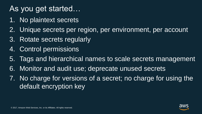## As you get started…

- 1. No plaintext secrets
- 2. Unique secrets per region, per environment, per account
- 3. Rotate secrets regularly
- 4. Control permissions
- 5. Tags and hierarchical names to scale secrets management
- 6. Monitor and audit use; deprecate unused secrets
- 7. No charge for versions of a secret; no charge for using the default encryption key

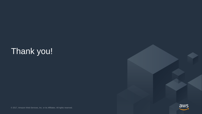## Thank you!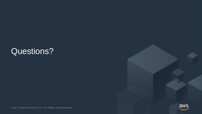## Questions?



© 2017, Amazon Web Services, Inc. or its Affiliates. All rights reserved.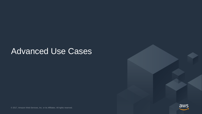## Advanced Use Cases



© 2017, Amazon Web Services, Inc. or its Affiliates. All rights reserved.